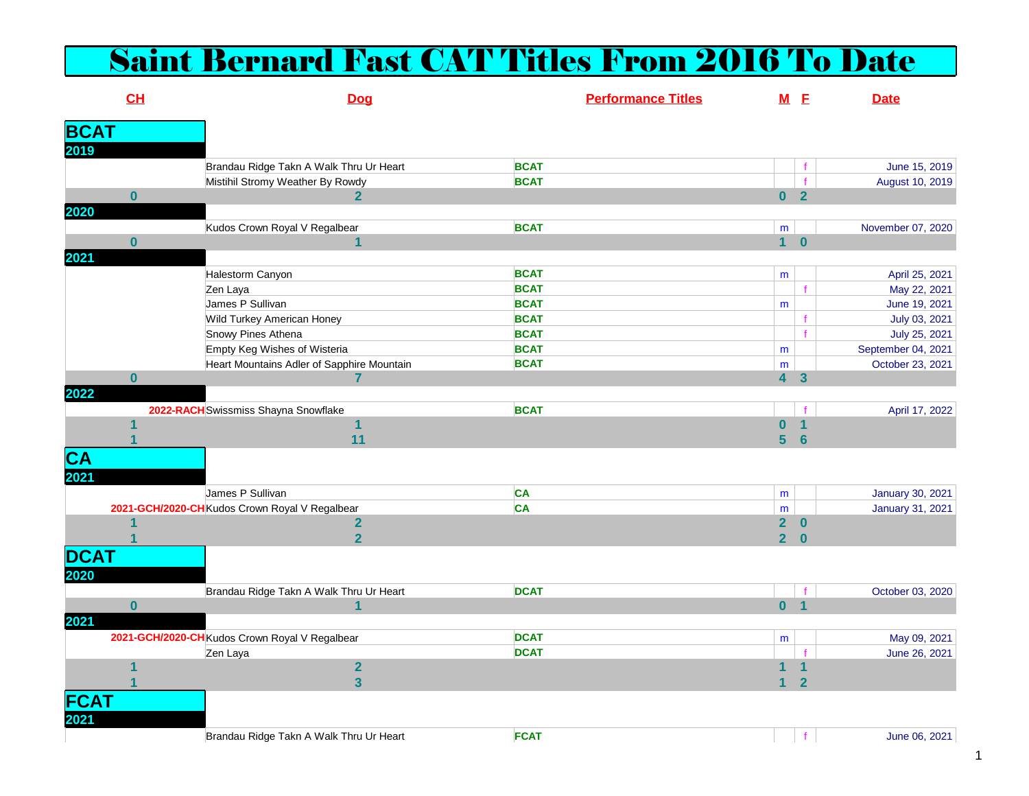## Saint Bernard Fast CAT Titles From 2016 To Date

|                          | CL                      | Dog                                            | <b>Performance Titles</b> |                | M <sub>E</sub>          | <b>Date</b>        |
|--------------------------|-------------------------|------------------------------------------------|---------------------------|----------------|-------------------------|--------------------|
| <b>BCAT</b>              |                         |                                                |                           |                |                         |                    |
| 2019                     |                         |                                                |                           |                |                         |                    |
|                          |                         | Brandau Ridge Takn A Walk Thru Ur Heart        | <b>BCAT</b>               |                |                         | June 15, 2019      |
|                          |                         | Mistihil Stromy Weather By Rowdy               | <b>BCAT</b>               |                |                         | August 10, 2019    |
|                          | $\bf{0}$                | $\mathbf{2}$                                   |                           |                | 0 <sub>2</sub>          |                    |
| 2020                     |                         |                                                |                           |                |                         |                    |
|                          |                         | Kudos Crown Royal V Regalbear                  | <b>BCAT</b>               | m              |                         | November 07, 2020  |
|                          | $\bf{0}$                | 1                                              |                           | $\mathbf 1$    | $\mathbf{0}$            |                    |
| 2021                     |                         |                                                |                           |                |                         |                    |
|                          |                         | Halestorm Canyon                               | <b>BCAT</b>               | m              |                         | April 25, 2021     |
|                          |                         | Zen Laya                                       | <b>BCAT</b>               |                |                         | May 22, 2021       |
|                          |                         | James P Sullivan                               | <b>BCAT</b>               | m              |                         | June 19, 2021      |
|                          |                         | Wild Turkey American Honey                     | <b>BCAT</b>               |                |                         | July 03, 2021      |
|                          |                         | Snowy Pines Athena                             | <b>BCAT</b>               |                |                         | July 25, 2021      |
|                          |                         | Empty Keg Wishes of Wisteria                   | <b>BCAT</b>               | m              |                         | September 04, 2021 |
|                          |                         | Heart Mountains Adler of Sapphire Mountain     | <b>BCAT</b>               | m              |                         | October 23, 2021   |
|                          | $\mathbf{0}$            | 7                                              |                           | $\overline{4}$ | $\overline{\mathbf{3}}$ |                    |
| 2022                     |                         |                                                |                           |                |                         |                    |
|                          |                         | 2022-RACH Swissmiss Shayna Snowflake           | <b>BCAT</b>               |                |                         | April 17, 2022     |
|                          | 1                       | 1                                              |                           | $\bf{0}$       | $\mathbf{1}$            |                    |
|                          |                         | 11                                             |                           | 5 <sup>5</sup> | $6\phantom{1}6$         |                    |
| $\overline{\mathsf{CA}}$ |                         |                                                |                           |                |                         |                    |
| 2021                     |                         |                                                |                           |                |                         |                    |
|                          |                         | James P Sullivan                               | <b>CA</b>                 | m              |                         | January 30, 2021   |
|                          |                         | 2021-GCH/2020-CH Kudos Crown Royal V Regalbear | CA                        | m              |                         | January 31, 2021   |
|                          |                         | $\mathbf{2}$                                   |                           | 2 <sup>1</sup> | $\bf{0}$                |                    |
|                          |                         | $\overline{\mathbf{2}}$                        |                           | $2^{\circ}$    | $\bf{0}$                |                    |
|                          |                         |                                                |                           |                |                         |                    |
| <b>DCAT</b>              |                         |                                                |                           |                |                         |                    |
| 2020                     |                         |                                                |                           |                |                         |                    |
|                          |                         | Brandau Ridge Takn A Walk Thru Ur Heart        | <b>DCAT</b>               |                |                         | October 03, 2020   |
|                          | $\bf{0}$                | 1                                              |                           |                | 0 <sub>1</sub>          |                    |
| 2021                     |                         |                                                |                           |                |                         |                    |
|                          |                         | 2021-GCH/2020-CH Kudos Crown Royal V Regalbear | <b>DCAT</b>               | m              |                         | May 09, 2021       |
|                          |                         | Zen Laya                                       | <b>DCAT</b>               |                |                         | June 26, 2021      |
|                          | $\overline{\mathbf{1}}$ | $\overline{2}$                                 |                           | 1              |                         |                    |
|                          |                         | $\overline{\mathbf{3}}$                        |                           | 1              | $\overline{2}$          |                    |
| FCAT                     |                         |                                                |                           |                |                         |                    |
| 2021                     |                         |                                                |                           |                |                         |                    |
|                          |                         | Brandau Ridge Takn A Walk Thru Ur Heart        | <b>FCAT</b>               |                | f                       | June 06, 2021      |
|                          |                         |                                                |                           |                |                         |                    |